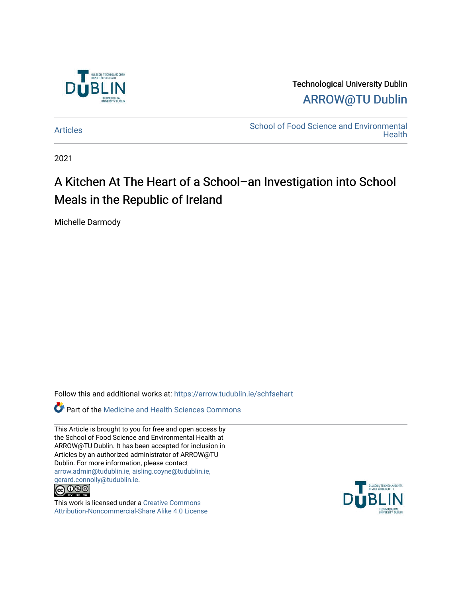

Technological University Dublin [ARROW@TU Dublin](https://arrow.tudublin.ie/) 

[Articles](https://arrow.tudublin.ie/schfsehart) **School of Food Science and Environmental Health** 

2021

# A Kitchen At The Heart of a School–an Investigation into School Meals in the Republic of Ireland

Michelle Darmody

Follow this and additional works at: [https://arrow.tudublin.ie/schfsehart](https://arrow.tudublin.ie/schfsehart?utm_source=arrow.tudublin.ie%2Fschfsehart%2F485&utm_medium=PDF&utm_campaign=PDFCoverPages) 

**Part of the Medicine and Health Sciences Commons** 

This Article is brought to you for free and open access by the School of Food Science and Environmental Health at ARROW@TU Dublin. It has been accepted for inclusion in Articles by an authorized administrator of ARROW@TU Dublin. For more information, please contact [arrow.admin@tudublin.ie, aisling.coyne@tudublin.ie,](mailto:arrow.admin@tudublin.ie,%20aisling.coyne@tudublin.ie,%20gerard.connolly@tudublin.ie)  [gerard.connolly@tudublin.ie](mailto:arrow.admin@tudublin.ie,%20aisling.coyne@tudublin.ie,%20gerard.connolly@tudublin.ie).



This work is licensed under a [Creative Commons](http://creativecommons.org/licenses/by-nc-sa/4.0/) [Attribution-Noncommercial-Share Alike 4.0 License](http://creativecommons.org/licenses/by-nc-sa/4.0/)

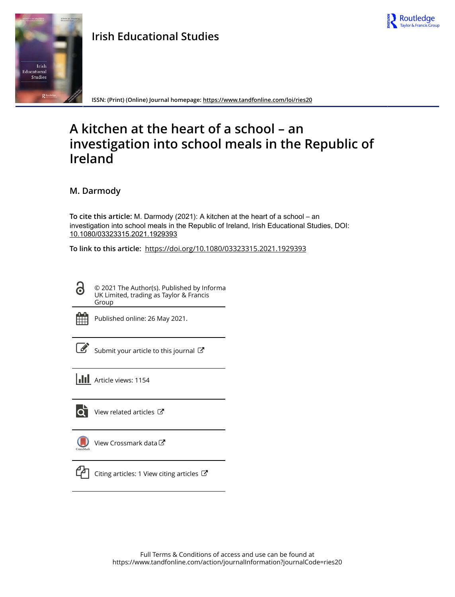

# **Irish Educational Studies**



**ISSN: (Print) (Online) Journal homepage:<https://www.tandfonline.com/loi/ries20>**

# **A kitchen at the heart of a school – an investigation into school meals in the Republic of Ireland**

**M. Darmody**

**To cite this article:** M. Darmody (2021): A kitchen at the heart of a school – an investigation into school meals in the Republic of Ireland, Irish Educational Studies, DOI: [10.1080/03323315.2021.1929393](https://www.tandfonline.com/action/showCitFormats?doi=10.1080/03323315.2021.1929393)

**To link to this article:** <https://doi.org/10.1080/03323315.2021.1929393>

© 2021 The Author(s). Published by Informa UK Limited, trading as Taylor & Francis Group



Q

Published online: 26 May 2021.

Submit your article to this journal

**III** Article views: 1154



 $\overrightarrow{Q}$  [View related articles](https://www.tandfonline.com/doi/mlt/10.1080/03323315.2021.1929393)  $\overrightarrow{C}$ 

[View Crossmark data](http://crossmark.crossref.org/dialog/?doi=10.1080/03323315.2021.1929393&domain=pdf&date_stamp=2021-05-26)



 $\Box$  [Citing articles: 1 View citing articles](https://www.tandfonline.com/doi/citedby/10.1080/03323315.2021.1929393#tabModule)  $\Box$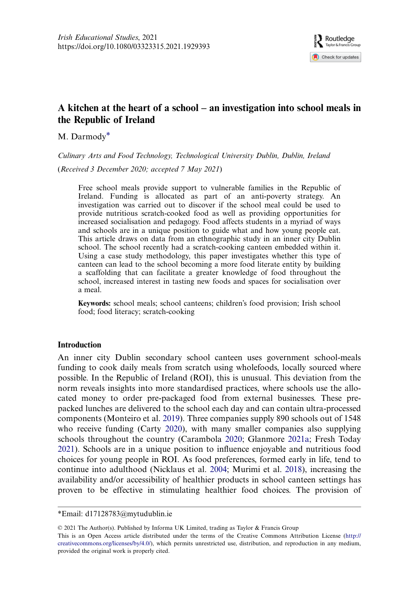# A kitchen at the heart of a school – an investigation into school meals in the Republic of Ireland

M. Darmody\*

Culinary Arts and Food Technology, Technological University Dublin, Dublin, Ireland

(Received 3 December 2020; accepted 7 May 2021)

Free school meals provide support to vulnerable families in the Republic of Ireland. Funding is allocated as part of an anti-poverty strategy. An investigation was carried out to discover if the school meal could be used to provide nutritious scratch-cooked food as well as providing opportunities for increased socialisation and pedagogy. Food affects students in a myriad of ways and schools are in a unique position to guide what and how young people eat. This article draws on data from an ethnographic study in an inner city Dublin school. The school recently had a scratch-cooking canteen embedded within it. Using a case study methodology, this paper investigates whether this type of canteen can lead to the school becoming a more food literate entity by building a scaffolding that can facilitate a greater knowledge of food throughout the school, increased interest in tasting new foods and spaces for socialisation over a meal.

Keywords: school meals; school canteens; children's food provision; Irish school food; food literacy; scratch-cooking

#### **Introduction**

<span id="page-2-2"></span><span id="page-2-1"></span><span id="page-2-0"></span>An inner city Dublin secondary school canteen uses government school-meals funding to cook daily meals from scratch using wholefoods, locally sourced where possible. In the Republic of Ireland (ROI), this is unusual. This deviation from the norm reveals insights into more standardised practices, where schools use the allocated money to order pre-packaged food from external businesses. These prepacked lunches are delivered to the school each day and can contain ultra-processed components (Monteiro et al. [2019\)](#page-17-0). Three companies supply 890 schools out of 1548 who receive funding (Carty [2020\)](#page-16-0), with many smaller companies also supplying schools throughout the country (Carambola [2020](#page-16-1); Glanmore [2021a](#page-17-1); Fresh Today [2021](#page-17-2)). Schools are in a unique position to influence enjoyable and nutritious food choices for young people in ROI. As food preferences, formed early in life, tend to continue into adulthood (Nicklaus et al. [2004](#page-18-0); Murimi et al. [2018\)](#page-17-3), increasing the availability and/or accessibility of healthier products in school canteen settings has proven to be effective in stimulating healthier food choices. The provision of

<span id="page-2-3"></span>\*Email: [d17128783@mytudublin.ie](mailto:d17128783@mytudublin.ie)

© 2021 The Author(s). Published by Informa UK Limited, trading as Taylor & Francis Group

This is an Open Access article distributed under the terms of the Creative Commons Attribution License ([http://](http://creativecommons.org/licenses/by/4.0/) [creativecommons.org/licenses/by/4.0/](http://creativecommons.org/licenses/by/4.0/)), which permits unrestricted use, distribution, and reproduction in any medium, provided the original work is properly cited.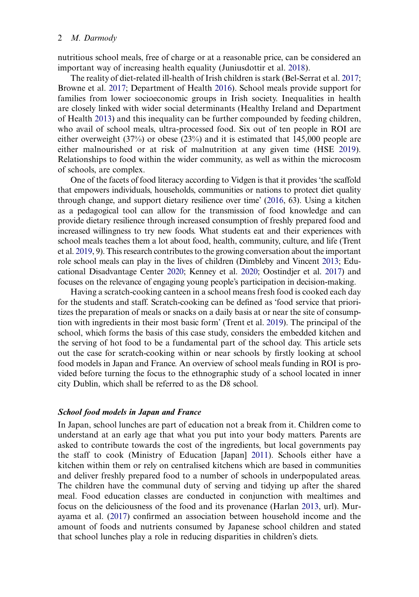<span id="page-3-7"></span>nutritious school meals, free of charge or at a reasonable price, can be considered an important way of increasing health equality (Juniusdottir et al. [2018\)](#page-17-4).

<span id="page-3-6"></span><span id="page-3-1"></span><span id="page-3-0"></span>The reality of diet-related ill-health of Irish children is stark (Bel-Serrat et al. [2017](#page-16-2); Browne et al. [2017](#page-16-3); Department of Health [2016\)](#page-16-4). School meals provide support for families from lower socioeconomic groups in Irish society. Inequalities in health are closely linked with wider social determinants (Healthy Ireland and Department of Health [2013\)](#page-17-5) and this inequality can be further compounded by feeding children, who avail of school meals, ultra-processed food. Six out of ten people in ROI are either overweight (37%) or obese (23%) and it is estimated that 145,000 people are either malnourished or at risk of malnutrition at any given time (HSE [2019](#page-17-6)). Relationships to food within the wider community, as well as within the microcosm of schools, are complex.

<span id="page-3-11"></span><span id="page-3-5"></span>One of the facets of food literacy according to Vidgen is that it provides 'the scaffold that empowers individuals, households, communities or nations to protect diet quality through change, and support dietary resilience over time' [\(2016,](#page-18-1) 63). Using a kitchen as a pedagogical tool can allow for the transmission of food knowledge and can provide dietary resilience through increased consumption of freshly prepared food and increased willingness to try new foods. What students eat and their experiences with school meals teaches them a lot about food, health, community, culture, and life (Trent et al. [2019,](#page-18-2) 9). This research contributes to the growing conversation about the important role school meals can play in the lives of children (Dimbleby and Vincent [2013;](#page-16-5) Educational Disadvantage Center [2020](#page-17-7); Kenney et al. [2020](#page-17-8); Oostindjer et al. [2017](#page-18-3)) and focuses on the relevance of engaging young people's participation in decision-making.

<span id="page-3-10"></span><span id="page-3-3"></span><span id="page-3-2"></span>Having a scratch-cooking canteen in a school means fresh food is cooked each day for the students and staff. Scratch-cooking can be defined as 'food service that prioritizes the preparation of meals or snacks on a daily basis at or near the site of consumption with ingredients in their most basic form' (Trent et al. [2019](#page-18-2)). The principal of the school, which forms the basis of this case study, considers the embedded kitchen and the serving of hot food to be a fundamental part of the school day. This article sets out the case for scratch-cooking within or near schools by firstly looking at school food models in Japan and France. An overview of school meals funding in ROI is provided before turning the focus to the ethnographic study of a school located in inner city Dublin, which shall be referred to as the D8 school.

#### School food models in Japan and France

<span id="page-3-9"></span><span id="page-3-8"></span><span id="page-3-4"></span>In Japan, school lunches are part of education not a break from it. Children come to understand at an early age that what you put into your body matters. Parents are asked to contribute towards the cost of the ingredients, but local governments pay the staff to cook (Ministry of Education [Japan] [2011](#page-17-9)). Schools either have a kitchen within them or rely on centralised kitchens which are based in communities and deliver freshly prepared food to a number of schools in underpopulated areas. The children have the communal duty of serving and tidying up after the shared meal. Food education classes are conducted in conjunction with mealtimes and focus on the deliciousness of the food and its provenance (Harlan [2013](#page-17-10), url). Murayama et al. ([2017\)](#page-17-11) confirmed an association between household income and the amount of foods and nutrients consumed by Japanese school children and stated that school lunches play a role in reducing disparities in children's diets.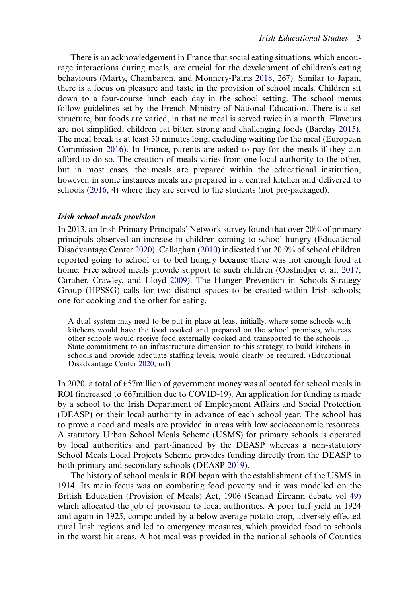<span id="page-4-5"></span><span id="page-4-0"></span>There is an acknowledgement in France that social eating situations, which encourage interactions during meals, are crucial for the development of children's eating behaviours (Marty, Chambaron, and Monnery-Patris [2018,](#page-17-12) 267). Similar to Japan, there is a focus on pleasure and taste in the provision of school meals. Children sit down to a four-course lunch each day in the school setting. The school menus follow guidelines set by the French Ministry of National Education. There is a set structure, but foods are varied, in that no meal is served twice in a month. Flavours are not simplified, children eat bitter, strong and challenging foods (Barclay [2015](#page-16-6)). The meal break is at least 30 minutes long, excluding waiting for the meal (European Commission [2016](#page-17-13)). In France, parents are asked to pay for the meals if they can afford to do so. The creation of meals varies from one local authority to the other, but in most cases, the meals are prepared within the educational institution, however, in some instances meals are prepared in a central kitchen and delivered to schools ([2016,](#page-17-13) 4) where they are served to the students (not pre-packaged).

#### <span id="page-4-4"></span>Irish school meals provision

<span id="page-4-2"></span><span id="page-4-1"></span>In 2013, an Irish Primary Principals' Network survey found that over 20% of primary principals observed an increase in children coming to school hungry (Educational Disadvantage Center [2020](#page-17-7)). Callaghan [\(2010](#page-16-7)) indicated that 20.9% of school children reported going to school or to bed hungry because there was not enough food at home. Free school meals provide support to such children (Oostindjer et al. [2017](#page-18-3); Caraher, Crawley, and Lloyd [2009](#page-16-8)). The Hunger Prevention in Schools Strategy Group (HPSSG) calls for two distinct spaces to be created within Irish schools; one for cooking and the other for eating.

A dual system may need to be put in place at least initially, where some schools with kitchens would have the food cooked and prepared on the school premises, whereas other schools would receive food externally cooked and transported to the schools … State commitment to an infrastructure dimension to this strategy, to build kitchens in schools and provide adequate staffing levels, would clearly be required. (Educational Disadvantage Center [2020](#page-17-7), url)

In 2020, a total of €57million of government money was allocated for school meals in ROI (increased to  $E67$ million due to COVID-19). An application for funding is made by a school to the Irish Department of Employment Affairs and Social Protection (DEASP) or their local authority in advance of each school year. The school has to prove a need and meals are provided in areas with low socioeconomic resources. A statutory Urban School Meals Scheme (USMS) for primary schools is operated by local authorities and part-financed by the DEASP whereas a non-statutory School Meals Local Projects Scheme provides funding directly from the DEASP to both primary and secondary schools (DEASP [2019\)](#page-16-9).

<span id="page-4-3"></span>The history of school meals in ROI began with the establishment of the USMS in 1914. Its main focus was on combating food poverty and it was modelled on the British Education (Provision of Meals) Act, 1906 (Seanad Éireann debate vol [49\)](#page-18-4) which allocated the job of provision to local authorities. A poor turf yield in 1924 and again in 1925, compounded by a below average-potato crop, adversely effected rural Irish regions and led to emergency measures, which provided food to schools in the worst hit areas. A hot meal was provided in the national schools of Counties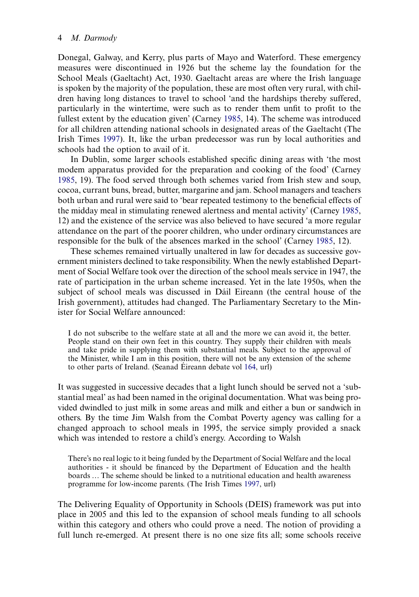Donegal, Galway, and Kerry, plus parts of Mayo and Waterford. These emergency measures were discontinued in 1926 but the scheme lay the foundation for the School Meals (Gaeltacht) Act, 1930. Gaeltacht areas are where the Irish language is spoken by the majority of the population, these are most often very rural, with children having long distances to travel to school 'and the hardships thereby suffered, particularly in the wintertime, were such as to render them unfit to profit to the fullest extent by the education given' (Carney [1985,](#page-16-10) 14). The scheme was introduced for all children attending national schools in designated areas of the Gaeltacht (The Irish Times [1997](#page-17-14)). It, like the urban predecessor was run by local authorities and schools had the option to avail of it.

In Dublin, some larger schools established specific dining areas with 'the most modem apparatus provided for the preparation and cooking of the food' (Carney [1985](#page-16-10), 19). The food served through both schemes varied from Irish stew and soup, cocoa, currant buns, bread, butter, margarine and jam. School managers and teachers both urban and rural were said to 'bear repeated testimony to the beneficial effects of the midday meal in stimulating renewed alertness and mental activity' (Carney [1985](#page-16-10), 12) and the existence of the service was also believed to have secured 'a more regular attendance on the part of the poorer children, who under ordinary circumstances are responsible for the bulk of the absences marked in the school' (Carney [1985](#page-16-10), 12).

<span id="page-5-0"></span>These schemes remained virtually unaltered in law for decades as successive government ministers declined to take responsibility. When the newly established Department of Social Welfare took over the direction of the school meals service in 1947, the rate of participation in the urban scheme increased. Yet in the late 1950s, when the subject of school meals was discussed in Dáil Eireann (the central house of the Irish government), attitudes had changed. The Parliamentary Secretary to the Minister for Social Welfare announced:

I do not subscribe to the welfare state at all and the more we can avoid it, the better. People stand on their own feet in this country. They supply their children with meals and take pride in supplying them with substantial meals. Subject to the approval of the Minister, while I am in this position, there will not be any extension of the scheme to other parts of Ireland. (Seanad Éireann debate vol [164](#page-18-5), url)

It was suggested in successive decades that a light lunch should be served not a 'substantial meal' as had been named in the original documentation. What was being provided dwindled to just milk in some areas and milk and either a bun or sandwich in others. By the time Jim Walsh from the Combat Poverty agency was calling for a changed approach to school meals in 1995, the service simply provided a snack which was intended to restore a child's energy. According to Walsh

<span id="page-5-1"></span>There's no real logic to it being funded by the Department of Social Welfare and the local authorities - it should be financed by the Department of Education and the health boards … The scheme should be linked to a nutritional education and health awareness programme for low-income parents. (The Irish Times [1997,](#page-17-14) url)

The Delivering Equality of Opportunity in Schools (DEIS) framework was put into place in 2005 and this led to the expansion of school meals funding to all schools within this category and others who could prove a need. The notion of providing a full lunch re-emerged. At present there is no one size fits all; some schools receive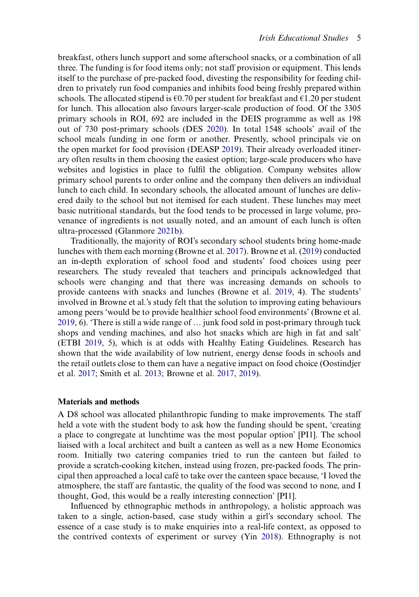<span id="page-6-1"></span>breakfast, others lunch support and some afterschool snacks, or a combination of all three. The funding is for food items only; not staff provision or equipment. This lends itself to the purchase of pre-packed food, divesting the responsibility for feeding children to privately run food companies and inhibits food being freshly prepared within schools. The allocated stipend is  $\epsilon$ 0.70 per student for breakfast and  $\epsilon$ 1.20 per student for lunch. This allocation also favours larger-scale production of food. Of the 3305 primary schools in ROI, 692 are included in the DEIS programme as well as 198 out of 730 post-primary schools (DES [2020](#page-16-11)). In total 1548 schools' avail of the school meals funding in one form or another. Presently, school principals vie on the open market for food provision (DEASP [2019](#page-16-9)). Their already overloaded itinerary often results in them choosing the easiest option; large-scale producers who have websites and logistics in place to fulfil the obligation. Company websites allow primary school parents to order online and the company then delivers an individual lunch to each child. In secondary schools, the allocated amount of lunches are delivered daily to the school but not itemised for each student. These lunches may meet basic nutritional standards, but the food tends to be processed in large volume, provenance of ingredients is not usually noted, and an amount of each lunch is often ultra-processed (Glanmore [2021b\)](#page-17-15).

<span id="page-6-3"></span>Traditionally, the majority of ROI's secondary school students bring home-made lunches with them each morning (Browne et al. [2017\)](#page-16-3). Browne et al. ([2019\)](#page-16-12) conducted an in-depth exploration of school food and students' food choices using peer researchers. The study revealed that teachers and principals acknowledged that schools were changing and that there was increasing demands on schools to provide canteens with snacks and lunches (Browne et al. [2019,](#page-16-12) 4). The students' involved in Browne et al.'s study felt that the solution to improving eating behaviours among peers 'would be to provide healthier school food environments' (Browne et al. [2019](#page-16-12), 6). 'There is still a wide range of … junk food sold in post-primary through tuck shops and vending machines, and also hot snacks which are high in fat and salt' (ETBI [2019,](#page-17-16) 5), which is at odds with Healthy Eating Guidelines. Research has shown that the wide availability of low nutrient, energy dense foods in schools and the retail outlets close to them can have a negative impact on food choice (Oostindjer et al. [2017](#page-18-3); Smith et al. [2013](#page-18-6); Browne et al. [2017,](#page-16-3) [2019](#page-16-12)).

#### <span id="page-6-2"></span><span id="page-6-0"></span>Materials and methods

A D8 school was allocated philanthropic funding to make improvements. The staff held a vote with the student body to ask how the funding should be spent, 'creating a place to congregate at lunchtime was the most popular option' [PI1]. The school liaised with a local architect and built a canteen as well as a new Home Economics room. Initially two catering companies tried to run the canteen but failed to provide a scratch-cooking kitchen, instead using frozen, pre-packed foods. The principal then approached a local café to take over the canteen space because, 'I loved the atmosphere, the staff are fantastic, the quality of the food was second to none, and I thought, God, this would be a really interesting connection' [PI1].

<span id="page-6-4"></span>Influenced by ethnographic methods in anthropology, a holistic approach was taken to a single, action-based, case study within a girl's secondary school. The essence of a case study is to make enquiries into a real-life context, as opposed to the contrived contexts of experiment or survey (Yin [2018\)](#page-18-7). Ethnography is not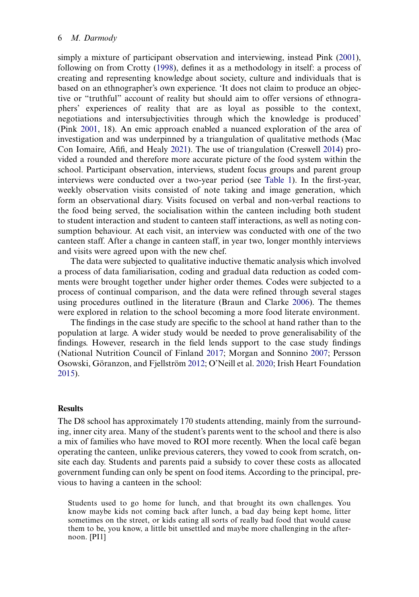<span id="page-7-5"></span><span id="page-7-2"></span><span id="page-7-1"></span>simply a mixture of participant observation and interviewing, instead Pink [\(2001](#page-18-8)), following on from Crotty [\(1998](#page-16-13)), defines it as a methodology in itself: a process of creating and representing knowledge about society, culture and individuals that is based on an ethnographer's own experience. 'It does not claim to produce an objective or "truthful" account of reality but should aim to offer versions of ethnographers' experiences of reality that are as loyal as possible to the context, negotiations and intersubjectivities through which the knowledge is produced' (Pink [2001](#page-18-8), 18). An emic approach enabled a nuanced exploration of the area of investigation and was underpinned by a triangulation of qualitative methods (Mac Con Iomaire, Afifi, and Healy [2021](#page-17-17)). The use of triangulation (Creswell [2014\)](#page-16-14) provided a rounded and therefore more accurate picture of the food system within the school. Participant observation, interviews, student focus groups and parent group interviews were conducted over a two-year period (see [Table 1\)](#page-8-0). In the first-year, weekly observation visits consisted of note taking and image generation, which form an observational diary. Visits focused on verbal and non-verbal reactions to the food being served, the socialisation within the canteen including both student to student interaction and student to canteen staff interactions, as well as noting consumption behaviour. At each visit, an interview was conducted with one of the two canteen staff. After a change in canteen staff, in year two, longer monthly interviews and visits were agreed upon with the new chef.

The data were subjected to qualitative inductive thematic analysis which involved a process of data familiarisation, coding and gradual data reduction as coded comments were brought together under higher order themes. Codes were subjected to a process of continual comparison, and the data were refined through several stages using procedures outlined in the literature (Braun and Clarke [2006](#page-16-15)). The themes were explored in relation to the school becoming a more food literate environment.

<span id="page-7-4"></span><span id="page-7-3"></span><span id="page-7-0"></span>The findings in the case study are specific to the school at hand rather than to the population at large. A wider study would be needed to prove generalisability of the findings. However, research in the field lends support to the case study findings (National Nutrition Council of Finland [2017](#page-18-9); Morgan and Sonnino [2007](#page-17-18); Persson Osowski, Göranzon, and Fjellström [2012](#page-18-10); O'Neill et al. [2020;](#page-18-11) Irish Heart Foundation [2015](#page-17-19)).

#### **Results**

The D8 school has approximately 170 students attending, mainly from the surrounding, inner city area. Many of the student's parents went to the school and there is also a mix of families who have moved to ROI more recently. When the local café began operating the canteen, unlike previous caterers, they vowed to cook from scratch, onsite each day. Students and parents paid a subsidy to cover these costs as allocated government funding can only be spent on food items. According to the principal, previous to having a canteen in the school:

Students used to go home for lunch, and that brought its own challenges. You know maybe kids not coming back after lunch, a bad day being kept home, litter sometimes on the street, or kids eating all sorts of really bad food that would cause them to be, you know, a little bit unsettled and maybe more challenging in the afternoon. [PI1]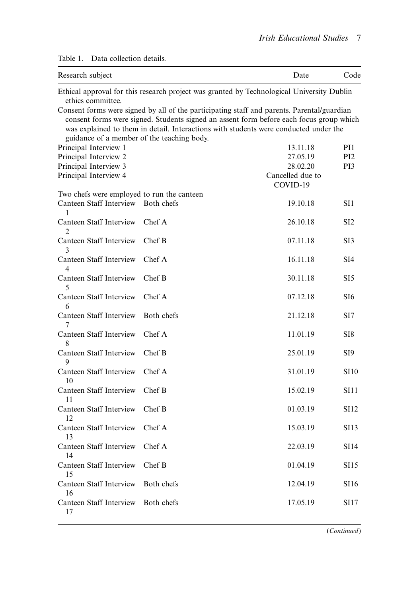| Research subject                           |            | Date                                                                                                                                                                                                                                                                          | Code            |
|--------------------------------------------|------------|-------------------------------------------------------------------------------------------------------------------------------------------------------------------------------------------------------------------------------------------------------------------------------|-----------------|
| ethics committee.                          |            | Ethical approval for this research project was granted by Technological University Dublin                                                                                                                                                                                     |                 |
| guidance of a member of the teaching body. |            | Consent forms were signed by all of the participating staff and parents. Parental/guardian<br>consent forms were signed. Students signed an assent form before each focus group which<br>was explained to them in detail. Interactions with students were conducted under the |                 |
| Principal Interview 1                      |            | 13.11.18                                                                                                                                                                                                                                                                      | PI1             |
| Principal Interview 2                      |            | 27.05.19                                                                                                                                                                                                                                                                      | PI <sub>2</sub> |
| Principal Interview 3                      |            | 28.02.20                                                                                                                                                                                                                                                                      | PI3             |
| Principal Interview 4                      |            | Cancelled due to<br>COVID-19                                                                                                                                                                                                                                                  |                 |
| Two chefs were employed to run the canteen |            |                                                                                                                                                                                                                                                                               |                 |
| Canteen Staff Interview<br>1               | Both chefs | 19.10.18                                                                                                                                                                                                                                                                      | SI1             |
| Canteen Staff Interview<br>2               | Chef A     | 26.10.18                                                                                                                                                                                                                                                                      | SI <sub>2</sub> |
| Canteen Staff Interview<br>3               | Chef B     | 07.11.18                                                                                                                                                                                                                                                                      | SI3             |
| Canteen Staff Interview<br>4               | Chef A     | 16.11.18                                                                                                                                                                                                                                                                      | SI <sub>4</sub> |
| Canteen Staff Interview<br>5               | Chef B     | 30.11.18                                                                                                                                                                                                                                                                      | SI5             |
| Canteen Staff Interview<br>6               | Chef A     | 07.12.18                                                                                                                                                                                                                                                                      | SI <sub>6</sub> |
| Canteen Staff Interview<br>7               | Both chefs | 21.12.18                                                                                                                                                                                                                                                                      | SI7             |
| Canteen Staff Interview<br>8               | Chef A     | 11.01.19                                                                                                                                                                                                                                                                      | SI8             |
| Canteen Staff Interview<br>9               | Chef B     | 25.01.19                                                                                                                                                                                                                                                                      | SI <sub>9</sub> |
| Canteen Staff Interview<br>10              | Chef A     | 31.01.19                                                                                                                                                                                                                                                                      | <b>SI10</b>     |
| Canteen Staff Interview<br>11              | Chef B     | 15.02.19                                                                                                                                                                                                                                                                      | <b>SI11</b>     |
| Canteen Staff Interview<br>12              | Chef B     | 01.03.19                                                                                                                                                                                                                                                                      | <b>SI12</b>     |
| Canteen Staff Interview<br>13              | Chef A     | 15.03.19                                                                                                                                                                                                                                                                      | <b>SI13</b>     |
| Canteen Staff Interview<br>14              | Chef A     | 22.03.19                                                                                                                                                                                                                                                                      | <b>SI14</b>     |
| Canteen Staff Interview<br>15              | Chef B     | 01.04.19                                                                                                                                                                                                                                                                      | <b>SI15</b>     |
| Canteen Staff Interview<br>16              | Both chefs | 12.04.19                                                                                                                                                                                                                                                                      | <b>SI16</b>     |
| Canteen Staff Interview<br>17              | Both chefs | 17.05.19                                                                                                                                                                                                                                                                      | SI17            |

# <span id="page-8-0"></span>Table 1. Data collection details.

(Continued)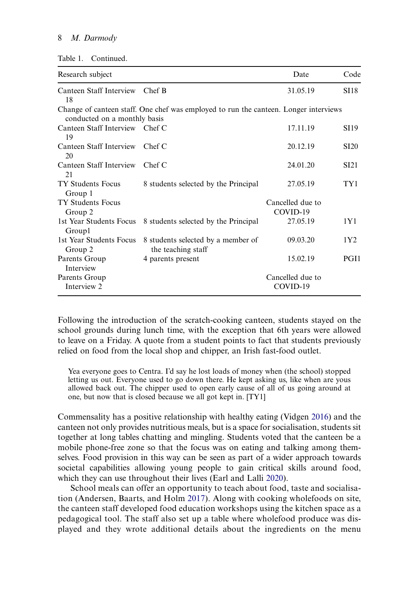| Research subject                     |                                                                                      | Date                         | Code             |
|--------------------------------------|--------------------------------------------------------------------------------------|------------------------------|------------------|
| Canteen Staff Interview<br>18        | Chef B                                                                               | 31.05.19                     | <b>SI18</b>      |
| conducted on a monthly basis         | Change of canteen staff. One chef was employed to run the canteen. Longer interviews |                              |                  |
| Canteen Staff Interview Chef C<br>19 |                                                                                      | 17.11.19                     | <b>SI19</b>      |
| Canteen Staff Interview<br>20        | Chef C                                                                               | 20.12.19                     | <b>SI20</b>      |
| Canteen Staff Interview<br>21        | Chef C                                                                               | 24.01.20                     | SI <sub>21</sub> |
| <b>TY Students Focus</b><br>Group 1  | 8 students selected by the Principal                                                 | 27.05.19                     | TY1              |
| TY Students Focus<br>Group 2         |                                                                                      | Cancelled due to<br>COVID-19 |                  |
| 1st Year Students Focus<br>Groupl    | 8 students selected by the Principal                                                 | 27.05.19                     | 1Y1              |
| 1st Year Students Focus<br>Group 2   | 8 students selected by a member of<br>the teaching staff                             | 09.03.20                     | 1Y <sub>2</sub>  |
| Parents Group<br>Interview           | 4 parents present                                                                    | 15.02.19                     | PGI1             |
| Parents Group<br>Interview 2         |                                                                                      | Cancelled due to<br>COVID-19 |                  |

Following the introduction of the scratch-cooking canteen, students stayed on the school grounds during lunch time, with the exception that 6th years were allowed to leave on a Friday. A quote from a student points to fact that students previously relied on food from the local shop and chipper, an Irish fast-food outlet.

Yea everyone goes to Centra. I'd say he lost loads of money when (the school) stopped letting us out. Everyone used to go down there. He kept asking us, like when are yous allowed back out. The chipper used to open early cause of all of us going around at one, but now that is closed because we all got kept in. [TY1]

Commensality has a positive relationship with healthy eating (Vidgen [2016\)](#page-18-1) and the canteen not only provides nutritious meals, but is a space for socialisation, students sit together at long tables chatting and mingling. Students voted that the canteen be a mobile phone-free zone so that the focus was on eating and talking among themselves. Food provision in this way can be seen as part of a wider approach towards societal capabilities allowing young people to gain critical skills around food, which they can use throughout their lives (Earl and Lalli [2020\)](#page-17-20).

<span id="page-9-1"></span><span id="page-9-0"></span>School meals can offer an opportunity to teach about food, taste and socialisation (Andersen, Baarts, and Holm [2017\)](#page-16-16). Along with cooking wholefoods on site, the canteen staff developed food education workshops using the kitchen space as a pedagogical tool. The staff also set up a table where wholefood produce was displayed and they wrote additional details about the ingredients on the menu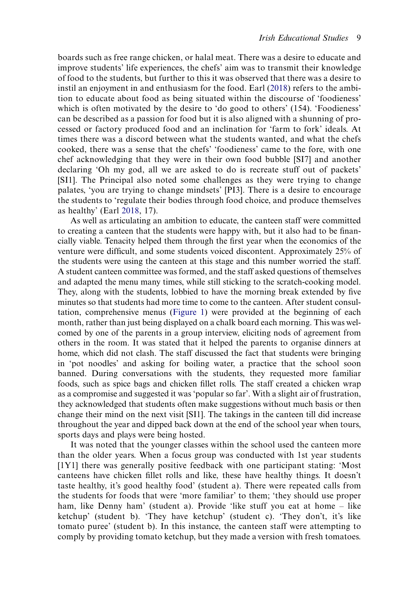boards such as free range chicken, or halal meat. There was a desire to educate and improve students' life experiences, the chefs' aim was to transmit their knowledge of food to the students, but further to this it was observed that there was a desire to instil an enjoyment in and enthusiasm for the food. Earl ([2018\)](#page-17-21) refers to the ambition to educate about food as being situated within the discourse of 'foodieness' which is often motivated by the desire to 'do good to others' (154). 'Foodieness' can be described as a passion for food but it is also aligned with a shunning of processed or factory produced food and an inclination for 'farm to fork' ideals. At times there was a discord between what the students wanted, and what the chefs cooked, there was a sense that the chefs' 'foodieness' came to the fore, with one chef acknowledging that they were in their own food bubble [SI7] and another declaring 'Oh my god, all we are asked to do is recreate stuff out of packets' [SI1]. The Principal also noted some challenges as they were trying to change palates, 'you are trying to change mindsets' [PI3]. There is a desire to encourage the students to 'regulate their bodies through food choice, and produce themselves as healthy' (Earl [2018,](#page-17-21) 17).

<span id="page-10-0"></span>As well as articulating an ambition to educate, the canteen staff were committed to creating a canteen that the students were happy with, but it also had to be financially viable. Tenacity helped them through the first year when the economics of the venture were difficult, and some students voiced discontent. Approximately 25% of the students were using the canteen at this stage and this number worried the staff. A student canteen committee was formed, and the staff asked questions of themselves and adapted the menu many times, while still sticking to the scratch-cooking model. They, along with the students, lobbied to have the morning break extended by five minutes so that students had more time to come to the canteen. After student consultation, comprehensive menus [\(Figure 1](#page-11-0)) were provided at the beginning of each month, rather than just being displayed on a chalk board each morning. This was welcomed by one of the parents in a group interview, eliciting nods of agreement from others in the room. It was stated that it helped the parents to organise dinners at home, which did not clash. The staff discussed the fact that students were bringing in 'pot noodles' and asking for boiling water, a practice that the school soon banned. During conversations with the students, they requested more familiar foods, such as spice bags and chicken fillet rolls. The staff created a chicken wrap as a compromise and suggested it was 'popular so far'. With a slight air of frustration, they acknowledged that students often make suggestions without much basis or then change their mind on the next visit [SI1]. The takings in the canteen till did increase throughout the year and dipped back down at the end of the school year when tours, sports days and plays were being hosted.

It was noted that the younger classes within the school used the canteen more than the older years. When a focus group was conducted with 1st year students [1Y1] there was generally positive feedback with one participant stating: 'Most canteens have chicken fillet rolls and like, these have healthy things. It doesn't taste healthy, it's good healthy food' (student a). There were repeated calls from the students for foods that were 'more familiar' to them; 'they should use proper ham, like Denny ham' (student a). Provide 'like stuff you eat at home – like ketchup' (student b). 'They have ketchup' (student c). 'They don't, it's like tomato puree' (student b). In this instance, the canteen staff were attempting to comply by providing tomato ketchup, but they made a version with fresh tomatoes.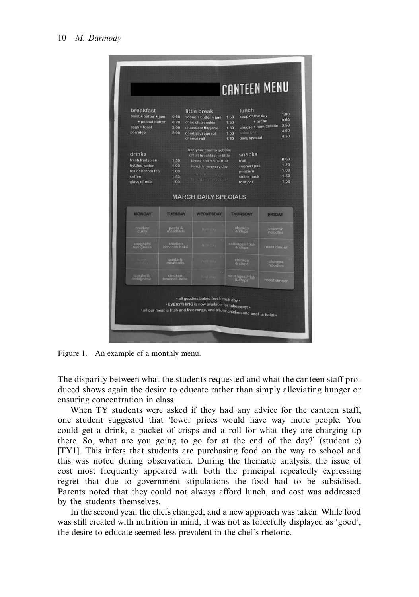<span id="page-11-0"></span>

| $toast + butter + jam$<br>+ peanut butter<br>eggs + toast<br>porridge                        | 0.60<br>0.20<br>2.00<br>2.00         | little break<br>scone + butter + jam<br>choc chip cookie<br>chocolate flapjack<br>good sausage roll<br>cheese roll                                   | lunch<br>soup of the day<br>1.50<br>1.50<br>1.50<br>salad bar<br>1.50<br>daily special<br>1.50 | 1.90<br>0.60<br>$+ bread$<br>3.50<br>cheese + ham toastie<br>4.00<br>4.50 |
|----------------------------------------------------------------------------------------------|--------------------------------------|------------------------------------------------------------------------------------------------------------------------------------------------------|------------------------------------------------------------------------------------------------|---------------------------------------------------------------------------|
| drinks<br>fresh fruit juice<br>bottled water<br>tea or herbal tea<br>coffee<br>glass of milk | 1.50<br>1.00<br>1.00<br>1.50<br>1.00 | use your card to get 60c<br>off at breakfast or little<br>break and 1.90 off at<br>lunch time every day.<br>true hommais at<br>Binefitame Cycle day! | snacks<br>fruit<br>yoghurt pot<br>popcorn<br>snack pack<br>fruit pot                           | 0.60<br>1.20<br>1.00<br>1.50<br>1.50                                      |
| <b>MONDAY</b>                                                                                | <b>TUESDAY</b>                       | <b>MARCH DAILY SPECIALS</b><br><b>WEDNESDAY</b>                                                                                                      | <b>THURSDAY</b>                                                                                | <b>FRIDAY</b>                                                             |
| chicken<br>curry                                                                             | pasta &<br>meatballs                 | <b>half</b> day                                                                                                                                      | chicken<br>& chips                                                                             | chinese<br>noodles                                                        |
| spaghetti<br>bolognese                                                                       | chicken<br>broccoli bake             | tuill day                                                                                                                                            | sausages / fish                                                                                | roast dinner                                                              |
|                                                                                              |                                      | nall day                                                                                                                                             | chicken<br>& chips                                                                             | chinese<br>noodles                                                        |
|                                                                                              | pasta &<br>meatballs                 |                                                                                                                                                      |                                                                                                |                                                                           |

Figure 1. An example of a monthly menu.

The disparity between what the students requested and what the canteen staff produced shows again the desire to educate rather than simply alleviating hunger or ensuring concentration in class.

When TY students were asked if they had any advice for the canteen staff, one student suggested that 'lower prices would have way more people. You could get a drink, a packet of crisps and a roll for what they are charging up there. So, what are you going to go for at the end of the day?' (student c) [TY1]. This infers that students are purchasing food on the way to school and this was noted during observation. During the thematic analysis, the issue of cost most frequently appeared with both the principal repeatedly expressing regret that due to government stipulations the food had to be subsidised. Parents noted that they could not always afford lunch, and cost was addressed by the students themselves.

In the second year, the chefs changed, and a new approach was taken. While food was still created with nutrition in mind, it was not as forcefully displayed as 'good', the desire to educate seemed less prevalent in the chef's rhetoric.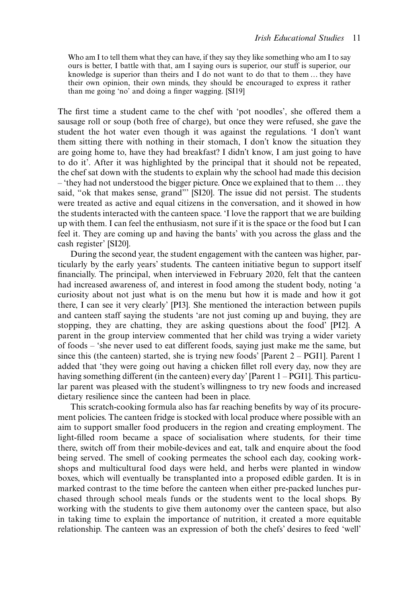Who am I to tell them what they can have, if they say they like something who am I to say ours is better, I battle with that, am I saying ours is superior, our stuff is superior, our knowledge is superior than theirs and I do not want to do that to them … they have their own opinion, their own minds, they should be encouraged to express it rather than me going 'no' and doing a finger wagging. [SI19]

The first time a student came to the chef with 'pot noodles', she offered them a sausage roll or soup (both free of charge), but once they were refused, she gave the student the hot water even though it was against the regulations. 'I don't want them sitting there with nothing in their stomach, I don't know the situation they are going home to, have they had breakfast? I didn't know, I am just going to have to do it'. After it was highlighted by the principal that it should not be repeated, the chef sat down with the students to explain why the school had made this decision – 'they had not understood the bigger picture. Once we explained that to them … they said, "ok that makes sense, grand"' [SI20]. The issue did not persist. The students were treated as active and equal citizens in the conversation, and it showed in how the students interacted with the canteen space. 'I love the rapport that we are building up with them. I can feel the enthusiasm, not sure if it is the space or the food but I can feel it. They are coming up and having the bants' with you across the glass and the cash register' [SI20].

During the second year, the student engagement with the canteen was higher, particularly by the early years' students. The canteen initiative begun to support itself financially. The principal, when interviewed in February 2020, felt that the canteen had increased awareness of, and interest in food among the student body, noting 'a curiosity about not just what is on the menu but how it is made and how it got there, I can see it very clearly' [PI3]. She mentioned the interaction between pupils and canteen staff saying the students 'are not just coming up and buying, they are stopping, they are chatting, they are asking questions about the food' [PI2]. A parent in the group interview commented that her child was trying a wider variety of foods – 'she never used to eat different foods, saying just make me the same, but since this (the canteen) started, she is trying new foods' [Parent  $2 - PGI1$ ]. Parent 1 added that 'they were going out having a chicken fillet roll every day, now they are having something different (in the canteen) every day' [Parent 1 – PGI1]. This particular parent was pleased with the student's willingness to try new foods and increased dietary resilience since the canteen had been in place.

This scratch-cooking formula also has far reaching benefits by way of its procurement policies. The canteen fridge is stocked with local produce where possible with an aim to support smaller food producers in the region and creating employment. The light-filled room became a space of socialisation where students, for their time there, switch off from their mobile-devices and eat, talk and enquire about the food being served. The smell of cooking permeates the school each day, cooking workshops and multicultural food days were held, and herbs were planted in window boxes, which will eventually be transplanted into a proposed edible garden. It is in marked contrast to the time before the canteen when either pre-packed lunches purchased through school meals funds or the students went to the local shops. By working with the students to give them autonomy over the canteen space, but also in taking time to explain the importance of nutrition, it created a more equitable relationship. The canteen was an expression of both the chefs' desires to feed 'well'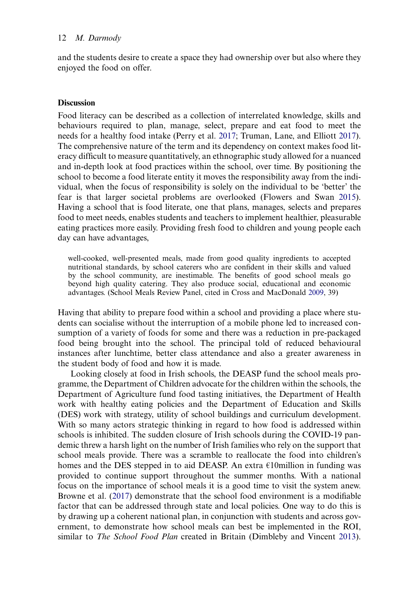and the students desire to create a space they had ownership over but also where they enjoyed the food on offer.

# **Discussion**

<span id="page-13-2"></span>Food literacy can be described as a collection of interrelated knowledge, skills and behaviours required to plan, manage, select, prepare and eat food to meet the needs for a healthy food intake (Perry et al. [2017;](#page-18-12) Truman, Lane, and Elliott [2017](#page-18-13)). The comprehensive nature of the term and its dependency on context makes food literacy difficult to measure quantitatively, an ethnographic study allowed for a nuanced and in-depth look at food practices within the school, over time. By positioning the school to become a food literate entity it moves the responsibility away from the individual, when the focus of responsibility is solely on the individual to be 'better' the fear is that larger societal problems are overlooked (Flowers and Swan [2015](#page-17-22)). Having a school that is food literate, one that plans, manages, selects and prepares food to meet needs, enables students and teachers to implement healthier, pleasurable eating practices more easily. Providing fresh food to children and young people each day can have advantages,

<span id="page-13-1"></span>well-cooked, well-presented meals, made from good quality ingredients to accepted nutritional standards, by school caterers who are confident in their skills and valued by the school community, are inestimable. The benefits of good school meals go beyond high quality catering. They also produce social, educational and economic advantages. (School Meals Review Panel, cited in Cross and MacDonald [2009](#page-16-17), 39)

<span id="page-13-0"></span>Having that ability to prepare food within a school and providing a place where students can socialise without the interruption of a mobile phone led to increased consumption of a variety of foods for some and there was a reduction in pre-packaged food being brought into the school. The principal told of reduced behavioural instances after lunchtime, better class attendance and also a greater awareness in the student body of food and how it is made.

Looking closely at food in Irish schools, the DEASP fund the school meals programme, the Department of Children advocate for the children within the schools, the Department of Agriculture fund food tasting initiatives, the Department of Health work with healthy eating policies and the Department of Education and Skills (DES) work with strategy, utility of school buildings and curriculum development. With so many actors strategic thinking in regard to how food is addressed within schools is inhibited. The sudden closure of Irish schools during the COVID-19 pandemic threw a harsh light on the number of Irish families who rely on the support that school meals provide. There was a scramble to reallocate the food into children's homes and the DES stepped in to aid DEASP. An extra  $\epsilon$ 10million in funding was provided to continue support throughout the summer months. With a national focus on the importance of school meals it is a good time to visit the system anew. Browne et al. [\(2017](#page-16-3)) demonstrate that the school food environment is a modifiable factor that can be addressed through state and local policies. One way to do this is by drawing up a coherent national plan, in conjunction with students and across government, to demonstrate how school meals can best be implemented in the ROI, similar to *The School Food Plan* created in Britain (Dimbleby and Vincent [2013](#page-16-5)).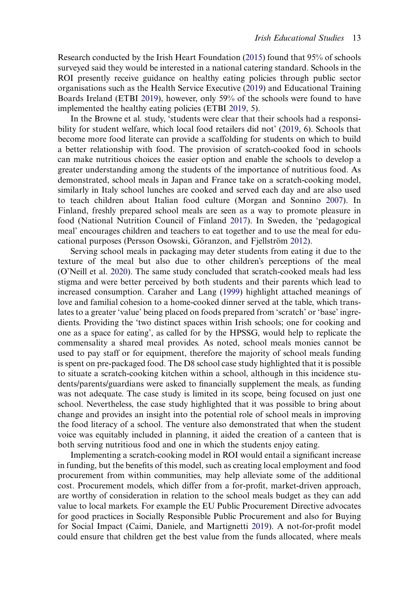Research conducted by the Irish Heart Foundation [\(2015](#page-17-19)) found that 95% of schools surveyed said they would be interested in a national catering standard. Schools in the ROI presently receive guidance on healthy eating policies through public sector organisations such as the Health Service Executive ([2019\)](#page-17-6) and Educational Training Boards Ireland (ETBI [2019](#page-17-16)), however, only 59% of the schools were found to have implemented the healthy eating policies (ETBI [2019,](#page-17-16) 5).

In the Browne et al. study, 'students were clear that their schools had a responsibility for student welfare, which local food retailers did not' ([2019,](#page-16-12) 6). Schools that become more food literate can provide a scaffolding for students on which to build a better relationship with food. The provision of scratch-cooked food in schools can make nutritious choices the easier option and enable the schools to develop a greater understanding among the students of the importance of nutritious food. As demonstrated, school meals in Japan and France take on a scratch-cooking model, similarly in Italy school lunches are cooked and served each day and are also used to teach children about Italian food culture (Morgan and Sonnino [2007\)](#page-17-18). In Finland, freshly prepared school meals are seen as a way to promote pleasure in food (National Nutrition Council of Finland [2017](#page-18-9)). In Sweden, the 'pedagogical meal' encourages children and teachers to eat together and to use the meal for educational purposes (Persson Osowski, Göranzon, and Fjellström [2012\)](#page-18-10).

<span id="page-14-1"></span>Serving school meals in packaging may deter students from eating it due to the texture of the meal but also due to other children's perceptions of the meal (O'Neill et al. [2020](#page-18-11)). The same study concluded that scratch-cooked meals had less stigma and were better perceived by both students and their parents which lead to increased consumption. Caraher and Lang [\(1999](#page-16-18)) highlight attached meanings of love and familial cohesion to a home-cooked dinner served at the table, which translates to a greater 'value' being placed on foods prepared from 'scratch' or 'base' ingredients. Providing the 'two distinct spaces within Irish schools; one for cooking and one as a space for eating', as called for by the HPSSG, would help to replicate the commensality a shared meal provides. As noted, school meals monies cannot be used to pay staff or for equipment, therefore the majority of school meals funding is spent on pre-packaged food. The D8 school case study highlighted that it is possible to situate a scratch-cooking kitchen within a school, although in this incidence students/parents/guardians were asked to financially supplement the meals, as funding was not adequate. The case study is limited in its scope, being focused on just one school. Nevertheless, the case study highlighted that it was possible to bring about change and provides an insight into the potential role of school meals in improving the food literacy of a school. The venture also demonstrated that when the student voice was equitably included in planning, it aided the creation of a canteen that is both serving nutritious food and one in which the students enjoy eating.

<span id="page-14-0"></span>Implementing a scratch-cooking model in ROI would entail a significant increase in funding, but the benefits of this model, such as creating local employment and food procurement from within communities, may help alleviate some of the additional cost. Procurement models, which differ from a for-profit, market-driven approach, are worthy of consideration in relation to the school meals budget as they can add value to local markets. For example the EU Public Procurement Directive advocates for good practices in Socially Responsible Public Procurement and also for Buying for Social Impact (Caimi, Daniele, and Martignetti [2019](#page-16-19)). A not-for-profit model could ensure that children get the best value from the funds allocated, where meals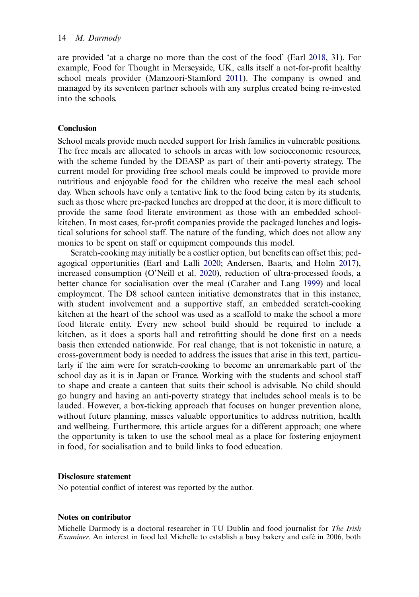<span id="page-15-0"></span>are provided 'at a charge no more than the cost of the food' (Earl [2018,](#page-17-21) 31). For example, Food for Thought in Merseyside, UK, calls itself a not-for-profit healthy school meals provider (Manzoori-Stamford [2011](#page-17-23)). The company is owned and managed by its seventeen partner schools with any surplus created being re-invested into the schools.

# **Conclusion**

School meals provide much needed support for Irish families in vulnerable positions. The free meals are allocated to schools in areas with low socioeconomic resources, with the scheme funded by the DEASP as part of their anti-poverty strategy. The current model for providing free school meals could be improved to provide more nutritious and enjoyable food for the children who receive the meal each school day. When schools have only a tentative link to the food being eaten by its students, such as those where pre-packed lunches are dropped at the door, it is more difficult to provide the same food literate environment as those with an embedded schoolkitchen. In most cases, for-profit companies provide the packaged lunches and logistical solutions for school staff. The nature of the funding, which does not allow any monies to be spent on staff or equipment compounds this model.

Scratch-cooking may initially be a costlier option, but benefits can offset this; pedagogical opportunities (Earl and Lalli [2020;](#page-17-20) Andersen, Baarts, and Holm [2017](#page-16-16)), increased consumption (O'Neill et al. [2020](#page-18-11)), reduction of ultra-processed foods, a better chance for socialisation over the meal (Caraher and Lang [1999](#page-16-18)) and local employment. The D8 school canteen initiative demonstrates that in this instance, with student involvement and a supportive staff, an embedded scratch-cooking kitchen at the heart of the school was used as a scaffold to make the school a more food literate entity. Every new school build should be required to include a kitchen, as it does a sports hall and retrofitting should be done first on a needs basis then extended nationwide. For real change, that is not tokenistic in nature, a cross-government body is needed to address the issues that arise in this text, particularly if the aim were for scratch-cooking to become an unremarkable part of the school day as it is in Japan or France. Working with the students and school staff to shape and create a canteen that suits their school is advisable. No child should go hungry and having an anti-poverty strategy that includes school meals is to be lauded. However, a box-ticking approach that focuses on hunger prevention alone, without future planning, misses valuable opportunities to address nutrition, health and wellbeing. Furthermore, this article argues for a different approach; one where the opportunity is taken to use the school meal as a place for fostering enjoyment in food, for socialisation and to build links to food education.

# Disclosure statement

No potential conflict of interest was reported by the author.

# Notes on contributor

Michelle Darmody is a doctoral researcher in TU Dublin and food journalist for The Irish Examiner. An interest in food led Michelle to establish a busy bakery and café in 2006, both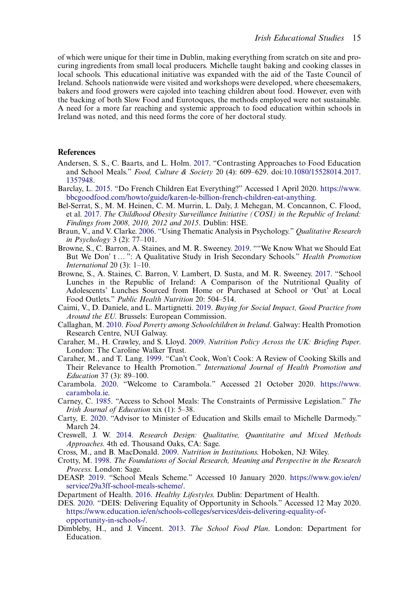of which were unique for their time in Dublin, making everything from scratch on site and procuring ingredients from small local producers. Michelle taught baking and cooking classes in local schools. This educational initiative was expanded with the aid of the Taste Council of Ireland. Schools nationwide were visited and workshops were developed, where cheesemakers, bakers and food growers were cajoled into teaching children about food. However, even with the backing of both Slow Food and Eurotoques, the methods employed were not sustainable. A need for a more far reaching and systemic approach to food education within schools in Ireland was noted, and this need forms the core of her doctoral study.

### References

- <span id="page-16-16"></span>Andersen, S. S., C. Baarts, and L. Holm. [2017.](#page-9-0) "Contrasting Approaches to Food Education and School Meals." Food, Culture & Society 20 (4): 609–629. doi[:10.1080/15528014.2017.](https://doi.org/10.1080/15528014.2017.1357948) [1357948.](https://doi.org/10.1080/15528014.2017.1357948)
- <span id="page-16-6"></span>Barclay, L. [2015.](#page-4-0) "Do French Children Eat Everything?" Accessed 1 April 2020. [https://www.](https://www.bbcgoodfood.com/howto/guide/karen-le-billion-french-children-eat-anything) [bbcgoodfood.com/howto/guide/karen-le-billion-french-children-eat-anything.](https://www.bbcgoodfood.com/howto/guide/karen-le-billion-french-children-eat-anything)
- <span id="page-16-2"></span>Bel-Serrat, S., M. M. Heinen, C. M. Murrin, L. Daly, J. Mehegan, M. Concannon, C. Flood, et al. [2017](#page-3-0). The Childhood Obesity Surveillance Initiative (COSI) in the Republic of Ireland: Findings from 2008, 2010, 2012 and 2015. Dublin: HSE.
- <span id="page-16-15"></span>Braun, V., and V. Clarke. [2006](#page-7-0). "Using Thematic Analysis in Psychology." Qualitative Research in Psychology 3 (2): 77–101.
- <span id="page-16-12"></span>Browne, S., C. Barron, A. Staines, and M. R. Sweeney. [2019.](#page-6-0) ""We Know What we Should Eat But We Don' t ... ": A Qualitative Study in Irish Secondary Schools." Health Promotion International 20 $(3)$ : 1-10.
- <span id="page-16-3"></span>Browne, S., A. Staines, C. Barron, V. Lambert, D. Susta, and M. R. Sweeney. [2017](#page-3-1). "School Lunches in the Republic of Ireland: A Comparison of the Nutritional Quality of Adolescents' Lunches Sourced from Home or Purchased at School or 'Out' at Local Food Outlets." Public Health Nutrition 20: 504–514.
- <span id="page-16-19"></span>Caimi, V., D. Daniele, and L. Martignetti. [2019](#page-14-0). Buying for Social Impact, Good Practice from Around the EU. Brussels: European Commission.
- <span id="page-16-7"></span>Callaghan, M. [2010](#page-4-1). Food Poverty among Schoolchildren in Ireland. Galway: Health Promotion Research Centre, NUI Galway.
- <span id="page-16-8"></span>Caraher, M., H. Crawley, and S. Lloyd. [2009](#page-4-2). Nutrition Policy Across the UK: Briefing Paper. London: The Caroline Walker Trust.
- <span id="page-16-18"></span>Caraher, M., and T. Lang. [1999](#page-14-1). "Can't Cook, Won't Cook: A Review of Cooking Skills and Their Relevance to Health Promotion." International Journal of Health Promotion and Education 37 (3): 89–100.
- <span id="page-16-1"></span>Carambola. [2020](#page-2-0). "Welcome to Carambola." Accessed 21 October 2020. [https://www.](https://www.carambola.ie) [carambola.ie.](https://www.carambola.ie)
- <span id="page-16-10"></span>Carney, C. [1985.](#page-5-0) "Access to School Meals: The Constraints of Permissive Legislation." The Irish Journal of Education xix (1): 5–38.
- <span id="page-16-0"></span>Carty, E. [2020.](#page-2-1) "Advisor to Minister of Education and Skills email to Michelle Darmody." March 24.
- <span id="page-16-14"></span>Creswell, J. W. [2014.](#page-7-1) Research Design: Qualitative, Quantitative and Mixed Methods Approaches. 4th ed. Thousand Oaks, CA: Sage.
- <span id="page-16-17"></span><span id="page-16-13"></span>Cross, M., and B. MacDonald. [2009](#page-13-0). Nutrition in Institutions. Hoboken, NJ: Wiley.
- Crotty, M. [1998](#page-7-2). The Foundations of Social Research, Meaning and Perspective in the Research Process. London: Sage.
- <span id="page-16-9"></span>DEASP. [2019](#page-4-3). "School Meals Scheme." Accessed 10 January 2020. [https://www.gov.ie/en/](https://www.gov.ie/en/service/29a3ff-school-meals-scheme/) [service/29a3ff-school-meals-scheme/.](https://www.gov.ie/en/service/29a3ff-school-meals-scheme/)
- <span id="page-16-11"></span><span id="page-16-4"></span>Department of Health. [2016](#page-3-1). Healthy Lifestyles. Dublin: Department of Health.
- DES. [2020](#page-6-1). "DEIS: Delivering Equality of Opportunity in Schools." Accessed 12 May 2020. [https://www.education.ie/en/schools-colleges/services/deis-delivering-equality-of](https://www.education.ie/en/schools-colleges/services/deis-delivering-equality-of-opportunity-in-schools-/)[opportunity-in-schools-/](https://www.education.ie/en/schools-colleges/services/deis-delivering-equality-of-opportunity-in-schools-/).
- <span id="page-16-5"></span>Dimbleby, H., and J. Vincent. [2013](#page-3-2). The School Food Plan. London: Department for Education.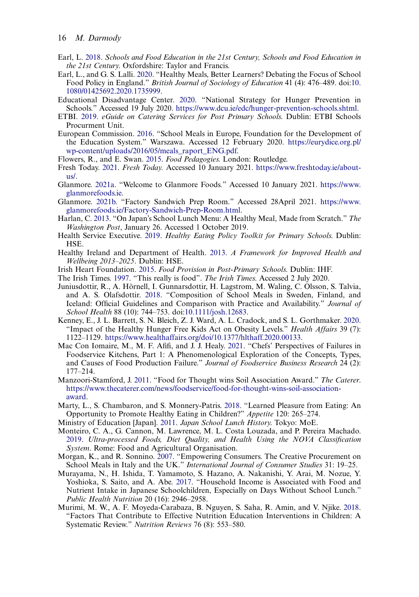- <span id="page-17-21"></span>Earl, L. [2018.](#page-10-0) Schools and Food Education in the 21st Century, Schools and Food Education in the 21st Century. Oxfordshire: Taylor and Francis.
- <span id="page-17-20"></span>Earl, L., and G. S. Lalli. [2020](#page-9-1). "Healthy Meals, Better Learners? Debating the Focus of School Food Policy in England." British Journal of Sociology of Education 41 (4): 476–489. doi:[10.](https://doi.org/10.1080/01425692.2020.1735999) [1080/01425692.2020.1735999.](https://doi.org/10.1080/01425692.2020.1735999)
- <span id="page-17-7"></span>Educational Disadvantage Center. [2020](#page-3-3). "National Strategy for Hunger Prevention in Schools." Accessed 19 July 2020. <https://www.dcu.ie/edc/hunger-prevention-schools.shtml>.
- <span id="page-17-16"></span>ETBI. [2019.](#page-6-2) eGuide on Catering Services for Post Primary Schools. Dublin: ETBI Schools Procurment Unit.
- <span id="page-17-13"></span>European Commission. [2016](#page-4-4). "School Meals in Europe, Foundation for the Development of the Education System." Warszawa. Accessed 12 February 2020. [https://eurydice.org.pl/](https://eurydice.org.pl/wp-content/uploads/2016/05/meals_raport_ENG.pdf) [wp-content/uploads/2016/05/meals\\_raport\\_ENG.pdf.](https://eurydice.org.pl/wp-content/uploads/2016/05/meals_raport_ENG.pdf)
- <span id="page-17-22"></span><span id="page-17-2"></span>Flowers, R., and E. Swan. [2015.](#page-13-1) Food Pedagogies. London: Routledge.
- Fresh Today. [2021.](#page-2-0) Fresh Today. Accessed 10 January 2021. [https://www.freshtoday.ie/about](https://www.freshtoday.ie/about-us/)[us/](https://www.freshtoday.ie/about-us/).
- <span id="page-17-1"></span>Glanmore. [2021a.](#page-2-0) "Welcome to Glanmore Foods." Accessed 10 January 2021. [https://www.](https://www.glanmorefoods.ie) [glanmorefoods.ie.](https://www.glanmorefoods.ie)
- <span id="page-17-15"></span>Glanmore. [2021b.](#page-6-3) "Factory Sandwich Prep Room." Accessed 28April 2021. [https://www.](https://www.glanmorefoods.ie/Factory-Sandwich-Prep-Room.html) [glanmorefoods.ie/Factory-Sandwich-Prep-Room.html](https://www.glanmorefoods.ie/Factory-Sandwich-Prep-Room.html).
- <span id="page-17-10"></span>Harlan, C. [2013.](#page-3-4) "On Japan's School Lunch Menu: A Healthy Meal, Made from Scratch." The Washington Post, January 26. Accessed 1 October 2019.
- <span id="page-17-6"></span>Health Service Executive. [2019.](#page-3-5) Healthy Eating Policy Toolkit for Primary Schools. Dublin: HSE.
- <span id="page-17-5"></span>Healthy Ireland and Department of Health. [2013](#page-3-6). A Framework for Improved Health and Wellbeing 2013–2025. Dublin: HSE.
- <span id="page-17-19"></span><span id="page-17-14"></span>Irish Heart Foundation. [2015.](#page-7-3) Food Provision in Post-Primary Schools. Dublin: IHF.
- <span id="page-17-4"></span>The Irish Times. [1997](#page-5-1). "This really is food". The Irish Times. Accessed 2 July 2020.
- Juniusdottir, R., A. Hörnell, I. Gunnarsdottir, H. Lagstrom, M. Waling, C. Olsson, S. Talvia, and A. S. Olafsdottir. [2018.](#page-3-7) "Composition of School Meals in Sweden, Finland, and Iceland: Official Guidelines and Comparison with Practice and Availability." Journal of School Health 88 (10): 744–753. doi:[10.1111/josh.12683](https://doi.org/10.1111/josh.12683).
- <span id="page-17-8"></span>Kenney, E., J. L. Barrett, S. N. Bleich, Z. J. Ward, A. L. Cradock, and S. L. Gorthmaker. [2020.](#page-3-3) "Impact of the Healthy Hunger Free Kids Act on Obesity Levels." *Health Affairs* 39 (7): 1122–1129. <https://www.healthaffairs.org/doi/10.1377/hlthaff.2020.00133>.
- <span id="page-17-17"></span>Mac Con Iomaire, M., M. F. Afifi, and J. J. Healy. [2021.](#page-7-1) "Chefs' Perspectives of Failures in Foodservice Kitchens, Part 1: A Phenomenological Exploration of the Concepts, Types, and Causes of Food Production Failure." Journal of Foodservice Business Research 24 (2): 177–214.
- <span id="page-17-23"></span>Manzoori-Stamford, J. [2011](#page-15-0). "Food for Thought wins Soil Association Award." The Caterer. [https://www.thecaterer.com/news/foodservice/food-for-thought-wins-soil-association](https://www.thecaterer.com/news/foodservice/food-for-thought-wins-soil-association-award)[award](https://www.thecaterer.com/news/foodservice/food-for-thought-wins-soil-association-award).
- <span id="page-17-12"></span>Marty, L., S. Chambaron, and S. Monnery-Patris. [2018](#page-4-5). "Learned Pleasure from Eating: An Opportunity to Promote Healthy Eating in Children?" Appetite 120: 265–274.
- <span id="page-17-9"></span><span id="page-17-0"></span>Ministry of Education [Japan]. [2011.](#page-3-8) Japan School Lunch History. Tokyo: MoE.
- Monteiro, C. A., G. Cannon, M. Lawrence, M. L. Costa Louzada, and P. Pereira Machado. [2019](#page-2-2). Ultra-processed Foods, Diet Quality, and Health Using the NOVA Classification System. Rome: Food and Agricultural Organisation.
- <span id="page-17-18"></span>Morgan, K., and R. Sonnino. [2007](#page-7-4). "Empowering Consumers. The Creative Procurement on School Meals in Italy and the UK." International Journal of Consumer Studies 31: 19-25.
- <span id="page-17-11"></span>Murayama, N., H. Ishida, T. Yamamoto, S. Hazano, A. Nakanishi, Y. Arai, M. Nozue, Y. Yoshioka, S. Saito, and A. Abe. [2017](#page-3-9). "Household Income is Associated with Food and Nutrient Intake in Japanese Schoolchildren, Especially on Days Without School Lunch." Public Health Nutrition 20 (16): 2946–2958.
- <span id="page-17-3"></span>Murimi, M. W., A. F. Moyeda-Carabaza, B. Nguyen, S. Saha, R. Amin, and V. Njike. [2018.](#page-2-3) "Factors That Contribute to Effective Nutrition Education Interventions in Children: A Systematic Review." Nutrition Reviews 76 (8): 553–580.